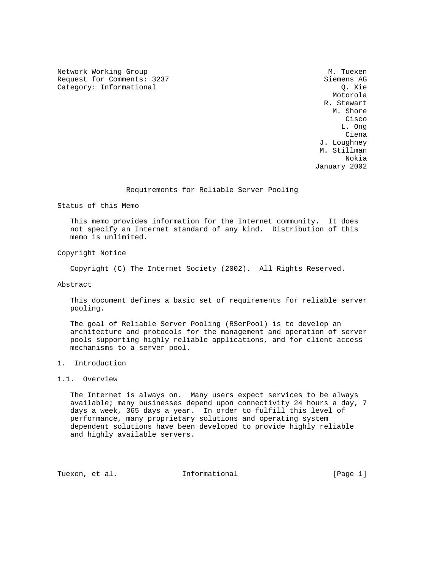Network Working Group Methods and the Music Methods of Music Music Music Music Music Music Music Music Music M Request for Comments: 3237 Siemens AG<br>Category: Informational (2. Siemens AG) Category: Informational

 Motorola R. Stewart M. Shore **Cisco de la constitución de la constitución de la constitución de la constitución de la constitución de la co**  L. Ong na dia 1992 nope 2014. Ilay kaominina dia 49.9149° ary 2.0141° amin'ny soratra desimaly. Ny faritr'i Norma dia  $C$ iena  $C$  J. Loughney M. Stillman Nokia January 2002

Requirements for Reliable Server Pooling

Status of this Memo

 This memo provides information for the Internet community. It does not specify an Internet standard of any kind. Distribution of this memo is unlimited.

Copyright Notice

Copyright (C) The Internet Society (2002). All Rights Reserved.

Abstract

 This document defines a basic set of requirements for reliable server pooling.

 The goal of Reliable Server Pooling (RSerPool) is to develop an architecture and protocols for the management and operation of server pools supporting highly reliable applications, and for client access mechanisms to a server pool.

## 1. Introduction

# 1.1. Overview

 The Internet is always on. Many users expect services to be always available; many businesses depend upon connectivity 24 hours a day, 7 days a week, 365 days a year. In order to fulfill this level of performance, many proprietary solutions and operating system dependent solutions have been developed to provide highly reliable and highly available servers.

Tuexen, et al. **Informational** [Page 1]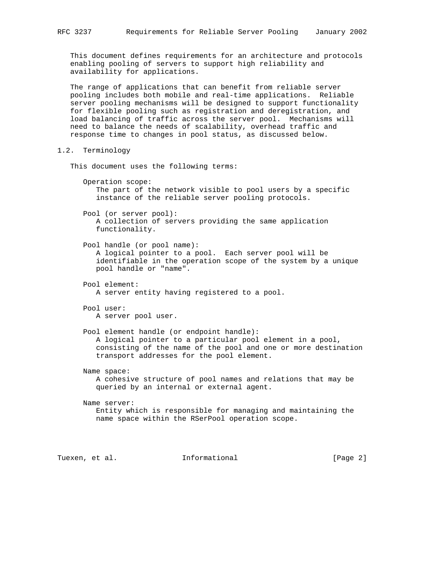This document defines requirements for an architecture and protocols enabling pooling of servers to support high reliability and availability for applications.

 The range of applications that can benefit from reliable server pooling includes both mobile and real-time applications. Reliable server pooling mechanisms will be designed to support functionality for flexible pooling such as registration and deregistration, and load balancing of traffic across the server pool. Mechanisms will need to balance the needs of scalability, overhead traffic and response time to changes in pool status, as discussed below.

#### 1.2. Terminology

This document uses the following terms:

 Operation scope: The part of the network visible to pool users by a specific instance of the reliable server pooling protocols.

 Pool (or server pool): A collection of servers providing the same application functionality.

 Pool handle (or pool name): A logical pointer to a pool. Each server pool will be identifiable in the operation scope of the system by a unique pool handle or "name".

- Pool element: A server entity having registered to a pool.
- Pool user: A server pool user.

 Pool element handle (or endpoint handle): A logical pointer to a particular pool element in a pool, consisting of the name of the pool and one or more destination transport addresses for the pool element.

Name space:

 A cohesive structure of pool names and relations that may be queried by an internal or external agent.

 Name server: Entity which is responsible for managing and maintaining the name space within the RSerPool operation scope.

Tuexen, et al. **Informational** 10 (Page 2)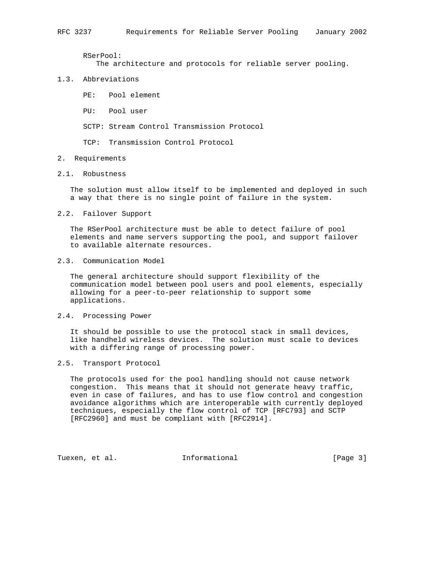RSerPool:

The architecture and protocols for reliable server pooling.

### 1.3. Abbreviations

PE: Pool element

PU: Pool user

SCTP: Stream Control Transmission Protocol

TCP: Transmission Control Protocol

### 2. Requirements

### 2.1. Robustness

 The solution must allow itself to be implemented and deployed in such a way that there is no single point of failure in the system.

2.2. Failover Support

 The RSerPool architecture must be able to detect failure of pool elements and name servers supporting the pool, and support failover to available alternate resources.

# 2.3. Communication Model

 The general architecture should support flexibility of the communication model between pool users and pool elements, especially allowing for a peer-to-peer relationship to support some applications.

## 2.4. Processing Power

 It should be possible to use the protocol stack in small devices, like handheld wireless devices. The solution must scale to devices with a differing range of processing power.

# 2.5. Transport Protocol

 The protocols used for the pool handling should not cause network congestion. This means that it should not generate heavy traffic, even in case of failures, and has to use flow control and congestion avoidance algorithms which are interoperable with currently deployed techniques, especially the flow control of TCP [RFC793] and SCTP [RFC2960] and must be compliant with [RFC2914].

Tuexen, et al. **Informational** [Page 3]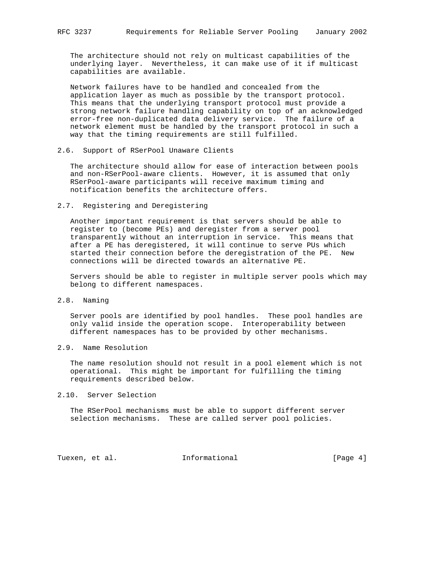The architecture should not rely on multicast capabilities of the underlying layer. Nevertheless, it can make use of it if multicast capabilities are available.

 Network failures have to be handled and concealed from the application layer as much as possible by the transport protocol. This means that the underlying transport protocol must provide a strong network failure handling capability on top of an acknowledged error-free non-duplicated data delivery service. The failure of a network element must be handled by the transport protocol in such a way that the timing requirements are still fulfilled.

## 2.6. Support of RSerPool Unaware Clients

 The architecture should allow for ease of interaction between pools and non-RSerPool-aware clients. However, it is assumed that only RSerPool-aware participants will receive maximum timing and notification benefits the architecture offers.

## 2.7. Registering and Deregistering

 Another important requirement is that servers should be able to register to (become PEs) and deregister from a server pool transparently without an interruption in service. This means that after a PE has deregistered, it will continue to serve PUs which started their connection before the deregistration of the PE. New connections will be directed towards an alternative PE.

 Servers should be able to register in multiple server pools which may belong to different namespaces.

2.8. Naming

 Server pools are identified by pool handles. These pool handles are only valid inside the operation scope. Interoperability between different namespaces has to be provided by other mechanisms.

## 2.9. Name Resolution

 The name resolution should not result in a pool element which is not operational. This might be important for fulfilling the timing requirements described below.

2.10. Server Selection

 The RSerPool mechanisms must be able to support different server selection mechanisms. These are called server pool policies.

Tuexen, et al. **Informational** [Page 4]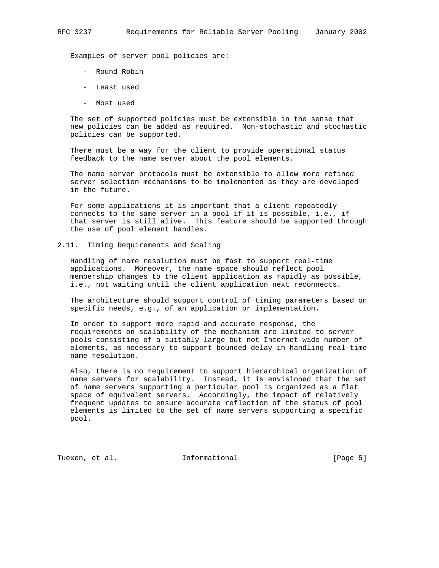Examples of server pool policies are:

- Round Robin
- Least used
- Most used

 The set of supported policies must be extensible in the sense that new policies can be added as required. Non-stochastic and stochastic policies can be supported.

 There must be a way for the client to provide operational status feedback to the name server about the pool elements.

 The name server protocols must be extensible to allow more refined server selection mechanisms to be implemented as they are developed in the future.

 For some applications it is important that a client repeatedly connects to the same server in a pool if it is possible, i.e., if that server is still alive. This feature should be supported through the use of pool element handles.

2.11. Timing Requirements and Scaling

 Handling of name resolution must be fast to support real-time applications. Moreover, the name space should reflect pool membership changes to the client application as rapidly as possible, i.e., not waiting until the client application next reconnects.

 The architecture should support control of timing parameters based on specific needs, e.g., of an application or implementation.

 In order to support more rapid and accurate response, the requirements on scalability of the mechanism are limited to server pools consisting of a suitably large but not Internet-wide number of elements, as necessary to support bounded delay in handling real-time name resolution.

 Also, there is no requirement to support hierarchical organization of name servers for scalability. Instead, it is envisioned that the set of name servers supporting a particular pool is organized as a flat space of equivalent servers. Accordingly, the impact of relatively frequent updates to ensure accurate reflection of the status of pool elements is limited to the set of name servers supporting a specific pool.

Tuexen, et al. **Informational** [Page 5]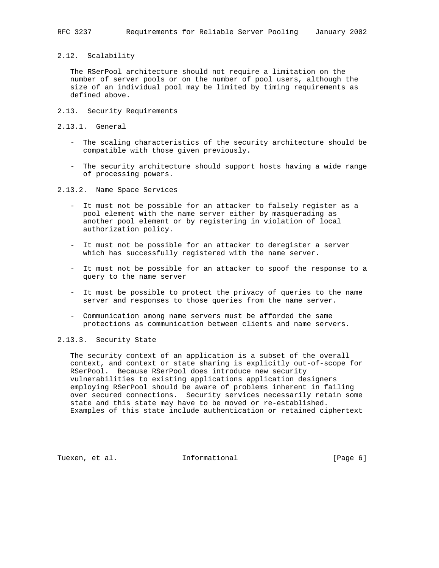2.12. Scalability

 The RSerPool architecture should not require a limitation on the number of server pools or on the number of pool users, although the size of an individual pool may be limited by timing requirements as defined above.

- 2.13. Security Requirements
- 2.13.1. General
	- The scaling characteristics of the security architecture should be compatible with those given previously.
	- The security architecture should support hosts having a wide range of processing powers.

2.13.2. Name Space Services

- It must not be possible for an attacker to falsely register as a pool element with the name server either by masquerading as another pool element or by registering in violation of local authorization policy.
- It must not be possible for an attacker to deregister a server which has successfully registered with the name server.
- It must not be possible for an attacker to spoof the response to a query to the name server
- It must be possible to protect the privacy of queries to the name server and responses to those queries from the name server.
- Communication among name servers must be afforded the same protections as communication between clients and name servers.

# 2.13.3. Security State

 The security context of an application is a subset of the overall context, and context or state sharing is explicitly out-of-scope for RSerPool. Because RSerPool does introduce new security vulnerabilities to existing applications application designers employing RSerPool should be aware of problems inherent in failing over secured connections. Security services necessarily retain some state and this state may have to be moved or re-established. Examples of this state include authentication or retained ciphertext

Tuexen, et al. **Informational** [Page 6]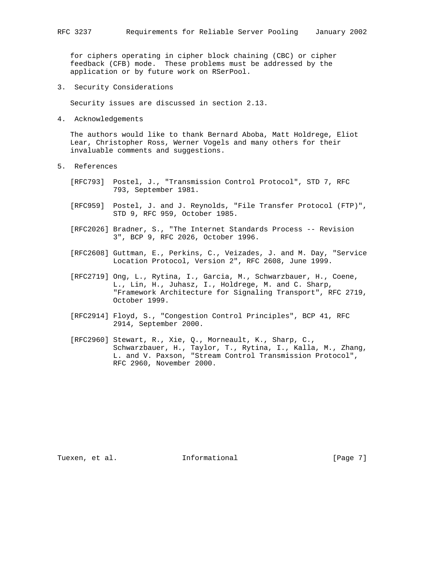for ciphers operating in cipher block chaining (CBC) or cipher feedback (CFB) mode. These problems must be addressed by the application or by future work on RSerPool.

3. Security Considerations

Security issues are discussed in section 2.13.

4. Acknowledgements

 The authors would like to thank Bernard Aboba, Matt Holdrege, Eliot Lear, Christopher Ross, Werner Vogels and many others for their invaluable comments and suggestions.

- 5. References
	- [RFC793] Postel, J., "Transmission Control Protocol", STD 7, RFC 793, September 1981.
	- [RFC959] Postel, J. and J. Reynolds, "File Transfer Protocol (FTP)", STD 9, RFC 959, October 1985.
	- [RFC2026] Bradner, S., "The Internet Standards Process -- Revision 3", BCP 9, RFC 2026, October 1996.
	- [RFC2608] Guttman, E., Perkins, C., Veizades, J. and M. Day, "Service Location Protocol, Version 2", RFC 2608, June 1999.
- [RFC2719] Ong, L., Rytina, I., Garcia, M., Schwarzbauer, H., Coene, L., Lin, H., Juhasz, I., Holdrege, M. and C. Sharp, "Framework Architecture for Signaling Transport", RFC 2719, October 1999.
	- [RFC2914] Floyd, S., "Congestion Control Principles", BCP 41, RFC 2914, September 2000.
	- [RFC2960] Stewart, R., Xie, Q., Morneault, K., Sharp, C., Schwarzbauer, H., Taylor, T., Rytina, I., Kalla, M., Zhang, L. and V. Paxson, "Stream Control Transmission Protocol", RFC 2960, November 2000.

Tuexen, et al. **Informational** [Page 7]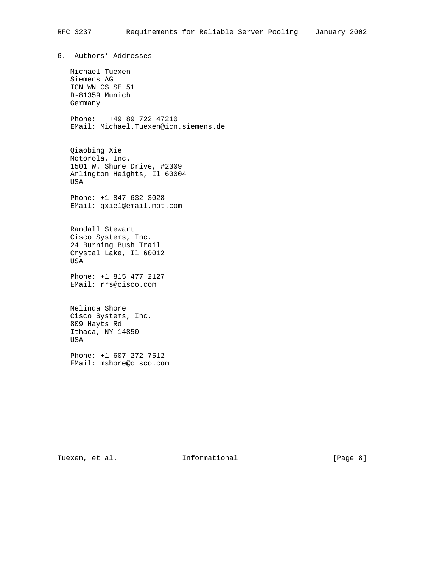6. Authors' Addresses

 Michael Tuexen Siemens AG ICN WN CS SE 51 D-81359 Munich Germany

 Phone: +49 89 722 47210 EMail: Michael.Tuexen@icn.siemens.de

 Qiaobing Xie Motorola, Inc. 1501 W. Shure Drive, #2309 Arlington Heights, Il 60004 USA

 Phone: +1 847 632 3028 EMail: qxie1@email.mot.com

 Randall Stewart Cisco Systems, Inc. 24 Burning Bush Trail Crystal Lake, Il 60012 USA

 Phone: +1 815 477 2127 EMail: rrs@cisco.com

 Melinda Shore Cisco Systems, Inc. 809 Hayts Rd Ithaca, NY 14850 USA

 Phone: +1 607 272 7512 EMail: mshore@cisco.com

Tuexen, et al. 1nformational 1999 [Page 8]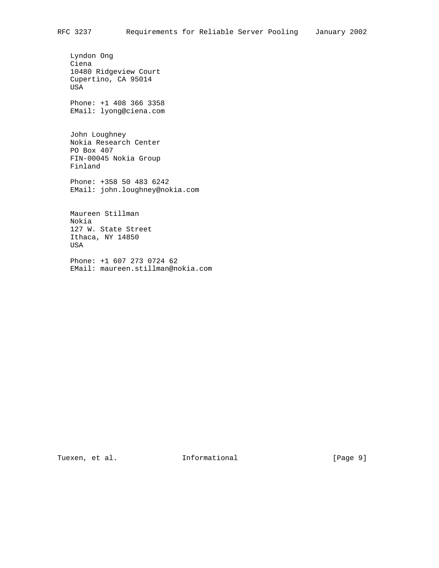Lyndon Ong Ciena 10480 Ridgeview Court Cupertino, CA 95014 USA Phone: +1 408 366 3358 EMail: lyong@ciena.com John Loughney

 Nokia Research Center PO Box 407 FIN-00045 Nokia Group Finland

 Phone: +358 50 483 6242 EMail: john.loughney@nokia.com

 Maureen Stillman Nokia 127 W. State Street Ithaca, NY 14850 USA

 Phone: +1 607 273 0724 62 EMail: maureen.stillman@nokia.com

Tuexen, et al. 1nformational 1999 [Page 9]